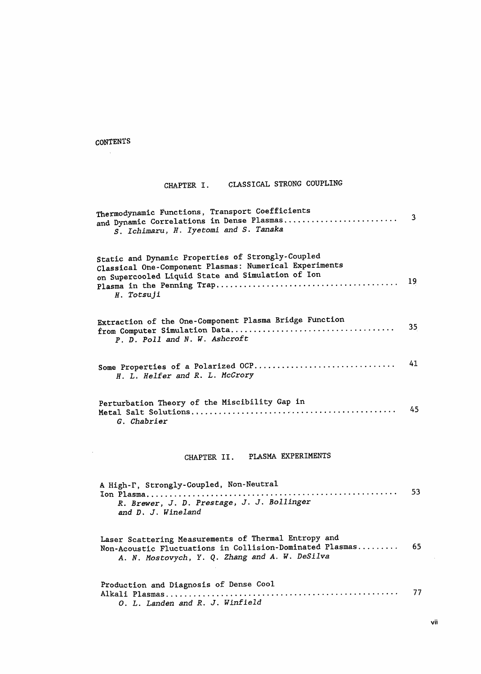## CONTENTS  $\sim 10$

## CHAPTER I. CLASSICAL STRONG COUPLING

| Thermodynamic Functions, Transport Coefficients<br>and Dynamic Correlations in Dense Plasmas<br>S. Ichimaru, H. Iyetomi and S. Tanaka                                          | 3               |
|--------------------------------------------------------------------------------------------------------------------------------------------------------------------------------|-----------------|
| Static and Dynamic Properties of Strongly-Coupled<br>Classical One-Component Plasmas: Numerical Experiments<br>on Supercooled Liquid State and Simulation of Ion<br>H. Totsuji | 19              |
| Extraction of the One-Component Plasma Bridge Function<br>P. D. Poll and N. W. Ashcroft                                                                                        | 35 <sub>1</sub> |
| Some Properties of a Polarized OCP<br>H. L. Helfer and R. L. McCrory                                                                                                           | 41              |
| Perturbation Theory of the Miscibility Gap in<br>G. Chabrier                                                                                                                   | 45              |
| CHAPTER II. PLASMA EXPERIMENTS                                                                                                                                                 |                 |
| A High-T, Strongly-Coupled, Non-Neutral<br>Ion Plasma<br>R. Brewer, J. D. Prestage, J. J. Bollinger<br>and D. J. Wineland                                                      | 53              |
| Laser Scattering Measurements of Thermal Entropy and<br>Non-Acoustic Fluctuations in Collision-Dominated Plasmas<br>A. N. Mostovych, Y. Q. Zhang and A. W. DeSilva             | 65              |
| Production and Diagnosis of Dense Cool<br>O. L. Landen and R. J. Winfield                                                                                                      | 77              |

 $\bar{\mathcal{A}}$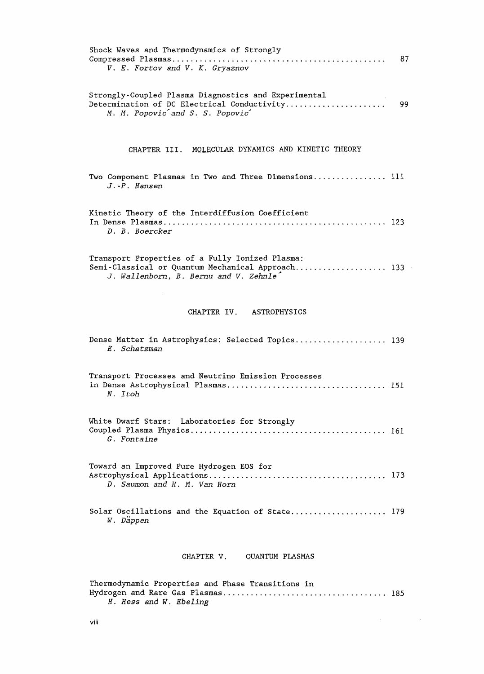| Shock Waves and Thermodynamics of Strongly<br>V. E. Fortov and V. K. Gryaznov                                                                 | 87  |
|-----------------------------------------------------------------------------------------------------------------------------------------------|-----|
| Strongly-Coupled Plasma Diagnostics and Experimental<br>M. M. Popovic and S. S. Popovic                                                       |     |
| CHAPTER III. MOLECULAR DYNAMICS AND KINETIC THEORY                                                                                            |     |
| Two Component Plasmas in Two and Three Dimensions 111<br>$J.-P.$ Hansen                                                                       |     |
| Kinetic Theory of the Interdiffusion Coefficient<br>D. B. Boercker                                                                            |     |
| Transport Properties of a Fully Ionized Plasma:<br>Semi-Classical or Quantum Mechanical Approach 133<br>J. Wallenborn, B. Bernu and V. Zehnle |     |
| CHAPTER IV. ASTROPHYSICS                                                                                                                      |     |
| Dense Matter in Astrophysics: Selected Topics 139<br>E. Schatzman                                                                             |     |
| Transport Processes and Neutrino Emission Processes<br>N. Itoh                                                                                |     |
| White Dwarf Stars: Laboratories for Strongly<br>G. Fontaine                                                                                   |     |
| Toward an Improved Pure Hydrogen EOS for<br>D. Saumon and H. M. Van Horn                                                                      | 173 |
| Solar Oscillations and the Equation of State 179<br>W. Däppen                                                                                 |     |
| CHAPTER V. OUANTUM PLASMAS                                                                                                                    |     |
| Thermodynamic Properties and Phase Transitions in<br>H. Hess and W. Ebeling                                                                   |     |

 $\label{eq:2.1} \frac{1}{\sqrt{2\pi}}\int_{\mathbb{R}^3}\frac{1}{\sqrt{2\pi}}\int_{\mathbb{R}^3}\frac{1}{\sqrt{2\pi}}\int_{\mathbb{R}^3}\frac{1}{\sqrt{2\pi}}\int_{\mathbb{R}^3}\frac{1}{\sqrt{2\pi}}\int_{\mathbb{R}^3}\frac{1}{\sqrt{2\pi}}\int_{\mathbb{R}^3}\frac{1}{\sqrt{2\pi}}\frac{1}{\sqrt{2\pi}}\int_{\mathbb{R}^3}\frac{1}{\sqrt{2\pi}}\frac{1}{\sqrt{2\pi}}\int_{\mathbb{R}^3}\frac{$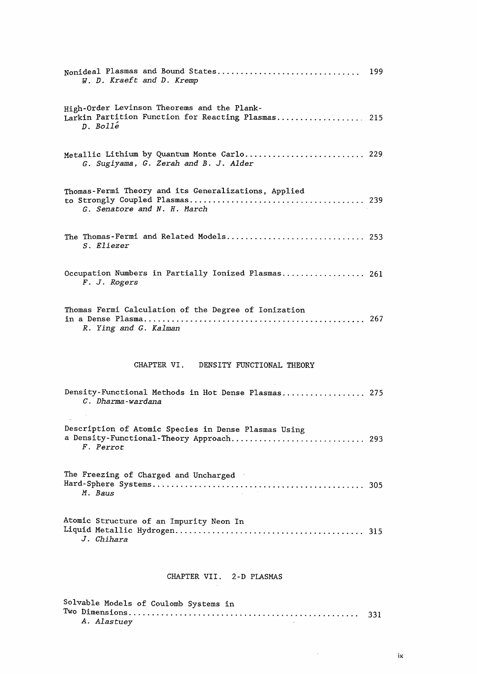| Nonideal Plasmas and Bound States<br>W. D. Kraeft and D. Kremp                                                | 199 |
|---------------------------------------------------------------------------------------------------------------|-----|
| High-Order Levinson Theorems and the Plank-<br>Larkin Partition Function for Reacting Plasmas 215<br>D. Bolle |     |
| Metallic Lithium by Quantum Monte Carlo 229<br>G. Sugiyama, G. Zerah and B. J. Alder                          |     |
| Thomas-Fermi Theory and its Generalizations, Applied<br>G. Senatore and N. H. March                           |     |
| The Thomas-Fermi and Related Models 253<br>S. Eliezer                                                         |     |
| Occupation Numbers in Partially Ionized Plasmas 261<br>F. J. Rogers                                           |     |
| Thomas Fermi Calculation of the Degree of Ionization<br>R. Ying and G. Kalman                                 |     |
| CHAPTER VI.<br>DENSITY FUNCTIONAL THEORY                                                                      |     |
| Density-Functional Methods in Hot Dense Plasmas 275<br>C. Dharma-wardana                                      |     |
| Description of Atomic Species in Dense Plasmas Using<br>a Density-Functional-Theory Approach 293<br>F. Perrot |     |
| The Freezing of Charged and Uncharged<br><i>M. Baus</i>                                                       | 305 |
| Atomic Structure of an Impurity Neon In<br>J. Chihara                                                         | 315 |
| CHAPTER VII. 2-D PLASMAS                                                                                      |     |

Solvable Models of Coulomb Systems in  $Two$  Dimensions  $\overline{33}$ A. Ala

 $\sim$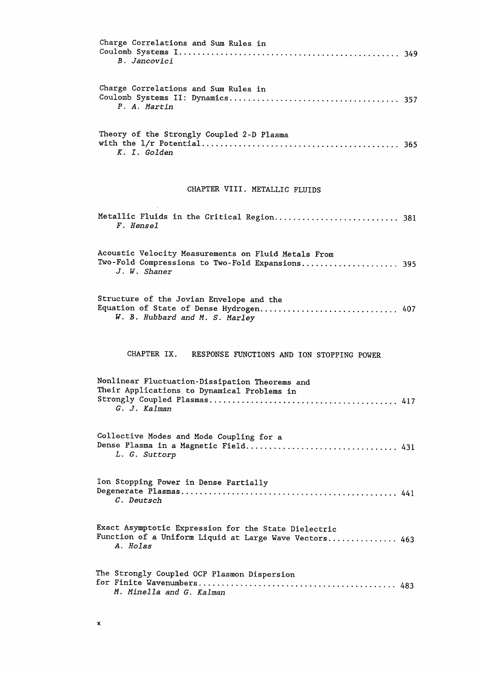| Charge Correlations and Sum Rules in<br>B. Jancovici                                                                       |
|----------------------------------------------------------------------------------------------------------------------------|
| Charge Correlations and Sum Rules in<br>P. A. Martin                                                                       |
| Theory of the Strongly Coupled 2-D Plasma<br>K. I. Golden                                                                  |
| CHAPTER VIII. METALLIC FLUIDS                                                                                              |
| F. Hensel                                                                                                                  |
| Acoustic Velocity Measurements on Fluid Metals From<br>Two-Fold Compressions to Two-Fold Expansions 395<br>J. W. Shaner    |
| Structure of the Jovian Envelope and the<br>Equation of State of Dense Hydrogen 407<br>W. B. Hubbard and M. S. Marley      |
| CHAPTER IX. RESPONSE FUNCTIONS AND ION STOPPING POWER                                                                      |
| Nonlinear Fluctuation-Dissipation Theorems and<br>Their Applications to Dynamical Problems in<br>G. J. Kalman              |
| Collective Modes and Mode Coupling for a<br>L. G. Suttorp                                                                  |
| Ion Stopping Power in Dense Partially<br><i>C.</i> Deutsch                                                                 |
| Exact Asymptotic Expression for the State Dielectric<br>Function of a Uniform Liquid at Large Wave Vectors 463<br>A. Holas |
| The Strongly Coupled OCP Plasmon Dispersion<br>M. Minella and G. Kalman                                                    |

 $\mathcal{A}_{\mathcal{A}}$  $\pmb{\mathsf{x}}$